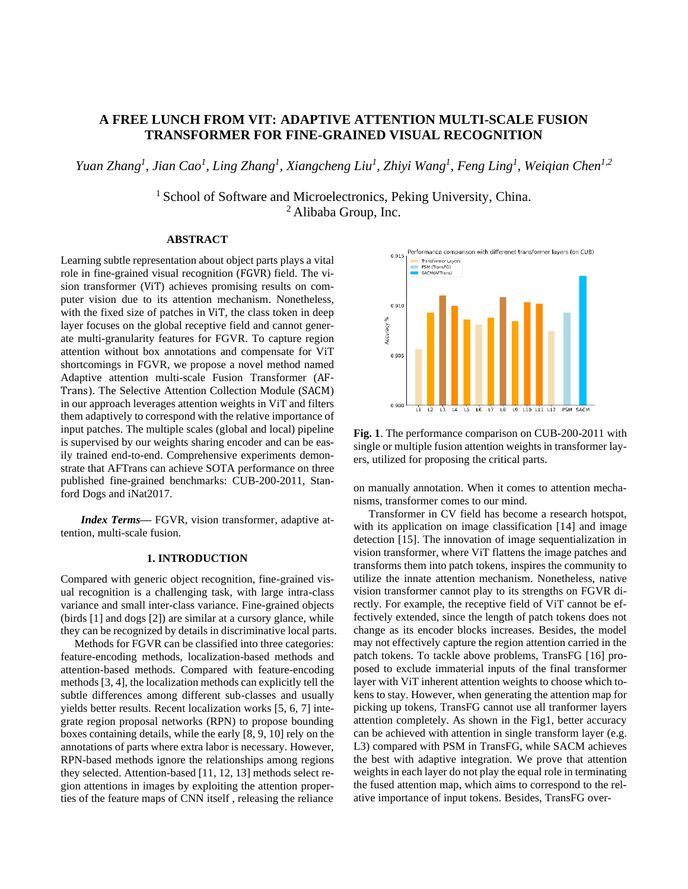# **A FREE LUNCH FROM VIT: ADAPTIVE ATTENTION MULTI-SCALE FUSION TRANSFORMER FOR FINE-GRAINED VISUAL RECOGNITION**

*Yuan Zhang<sup>1</sup>, Jian Cao<sup>1</sup>, Ling Zhang<sup>1</sup>, Xiangcheng Liu<sup>1</sup>, Zhiyi Wang<sup>1</sup>, Feng Ling<sup>1</sup>, Weiqian Chen<sup>1,2</sup>* 

<sup>1</sup> School of Software and Microelectronics, Peking University, China. <sup>2</sup> Alibaba Group, Inc.

## **ABSTRACT**

Learning subtle representation about object parts plays a vital role in fine-grained visual recognition (FGVR) field. The vision transformer (ViT) achieves promising results on computer vision due to its attention mechanism. Nonetheless, with the fixed size of patches in ViT, the class token in deep layer focuses on the global receptive field and cannot generate multi-granularity features for FGVR. To capture region attention without box annotations and compensate for ViT shortcomings in FGVR, we propose a novel method named Adaptive attention multi-scale Fusion Transformer (AF-Trans). The Selective Attention Collection Module (SACM) in our approach leverages attention weights in ViT and filters them adaptively to correspond with the relative importance of input patches. The multiple scales (global and local) pipeline is supervised by our weights sharing encoder and can be easily trained end-to-end. Comprehensive experiments demonstrate that AFTrans can achieve SOTA performance on three published fine-grained benchmarks: CUB-200-2011, Stanford Dogs and iNat2017.

*Index Terms—* FGVR, vision transformer, adaptive attention, multi-scale fusion.

# **1. INTRODUCTION**

Compared with generic object recognition, fine-grained visual recognition is a challenging task, with large intra-class variance and small inter-class variance. Fine-grained objects (birds [1] and dogs [2]) are similar at a cursory glance, while they can be recognized by details in discriminative local parts.

Methods for FGVR can be classified into three categories: feature-encoding methods, localization-based methods and attention-based methods. Compared with feature-encoding methods [3, 4], the localization methods can explicitly tell the subtle differences among different sub-classes and usually yields better results. Recent localization works [5, 6, 7] integrate region proposal networks (RPN) to propose bounding boxes containing details, while the early [8, 9, 10] rely on the annotations of parts where extra labor is necessary. However, RPN-based methods ignore the relationships among regions they selected. Attention-based [11, 12, 13] methods select region attentions in images by exploiting the attention properties of the feature maps of CNN itself , releasing the reliance



**Fig. 1**. The performance comparison on CUB-200-2011 with single or multiple fusion attention weights in transformer layers, utilized for proposing the critical parts.

on manually annotation. When it comes to attention mechanisms, transformer comes to our mind.

Transformer in CV field has become a research hotspot, with its application on image classification [14] and image detection [15]. The innovation of image sequentialization in vision transformer, where ViT flattens the image patches and transforms them into patch tokens, inspires the community to utilize the innate attention mechanism. Nonetheless, native vision transformer cannot play to its strengths on FGVR directly. For example, the receptive field of ViT cannot be effectively extended, since the length of patch tokens does not change as its encoder blocks increases. Besides, the model may not effectively capture the region attention carried in the patch tokens. To tackle above problems, TransFG [16] proposed to exclude immaterial inputs of the final transformer layer with ViT inherent attention weights to choose which tokens to stay. However, when generating the attention map for picking up tokens, TransFG cannot use all tranformer layers attention completely. As shown in the Fig1, better accuracy can be achieved with attention in single transform layer (e.g. L3) compared with PSM in TransFG, while SACM achieves the best with adaptive integration. We prove that attention weights in each layer do not play the equal role in terminating the fused attention map, which aims to correspond to the relative importance of input tokens. Besides, TransFG over-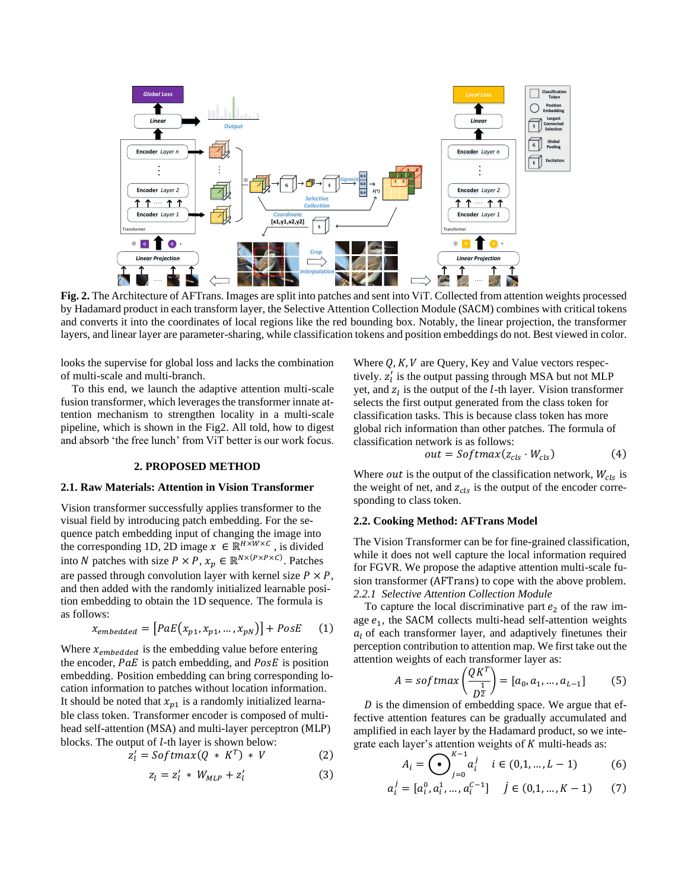

**Fig. 2.** The Architecture of AFTrans. Images are split into patches and sent into ViT. Collected from attention weights processed by Hadamard product in each transform layer, the Selective Attention Collection Module (SACM) combines with critical tokens and converts it into the coordinates of local regions like the red bounding box. Notably, the linear projection, the transformer layers, and linear layer are parameter-sharing, while classification tokens and position embeddings do not. Best viewed in color.

looks the supervise for global loss and lacks the combination of multi-scale and multi-branch.

To this end, we launch the adaptive attention multi-scale fusion transformer, which leverages the transformer innate attention mechanism to strengthen locality in a multi-scale pipeline, which is shown in the Fig2. All told, how to digest and absorb 'the free lunch' from ViT better is our work focus.

#### **2. PROPOSED METHOD**

#### **2.1. Raw Materials: Attention in Vision Transformer**

Vision transformer successfully applies transformer to the visual field by introducing patch embedding. For the sequence patch embedding input of changing the image into the corresponding 1D, 2D image  $x \in \mathbb{R}^{H \times W \times C}$ , is divided into *N* patches with size  $P \times P$ ,  $x_p \in \mathbb{R}^{N \times (P \times P \times C)}$ . Patches are passed through convolution layer with kernel size  $P \times P$ , and then added with the randomly initialized learnable position embedding to obtain the 1D sequence. The formula is as follows:

$$
x_{embedded} = [PaE(x_{p1}, x_{p1}, \dots, x_{pN})] + PosE \qquad (1)
$$

Where  $x_{embedded}$  is the embedding value before entering the encoder,  $PaE$  is patch embedding, and  $PoSE$  is position embedding. Position embedding can bring corresponding location information to patches without location information. It should be noted that  $x_{p1}$  is a randomly initialized learnable class token. Transformer encoder is composed of multihead self-attention (MSA) and multi-layer perceptron (MLP) blocks. The output of  $l$ -th layer is shown below:

$$
z'_{l} = Softmax(Q * K^{T}) * V \qquad (2)
$$

$$
z_l = z'_l \ast W_{MLP} + z'_l \tag{3}
$$

Where  $Q$ ,  $K$ ,  $V$  are Query, Key and Value vectors respectively.  $z'_l$  is the output passing through MSA but not MLP yet, and  $z_l$  is the output of the  $l$ -th layer. Vision transformer selects the first output generated from the class token for classification tasks. This is because class token has more global rich information than other patches. The formula of classification network is as follows:

$$
out = Softmax(z_{cls} \cdot W_{cls})
$$
 (4)

Where *out* is the output of the classification network,  $W_{cls}$  is the weight of net, and  $z_{cls}$  is the output of the encoder corresponding to class token.

#### **2.2. Cooking Method: AFTrans Model**

 $\epsilon$ 

The Vision Transformer can be for fine-grained classification, while it does not well capture the local information required for FGVR. We propose the adaptive attention multi-scale fusion transformer (AFTrans) to cope with the above problem. *2.2.1 Selective Attention Collection Module*

To capture the local discriminative part  $e_2$  of the raw image  $e_1$ , the SACM collects multi-head self-attention weights  $a<sub>l</sub>$  of each transformer layer, and adaptively finetunes their perception contribution to attention map. We first take out the attention weights of each transformer layer as:

$$
A = softmax\left(\frac{QK^{T}}{D^{\frac{1}{2}}}\right) = [a_0, a_1, ..., a_{L-1}]
$$
 (5)

 $D$  is the dimension of embedding space. We argue that effective attention features can be gradually accumulated and amplified in each layer by the Hadamard product, so we integrate each layer's attention weights of  $K$  multi-heads as:

$$
A_i = \bigodot_{j=0}^{K-1} a_i^j \quad i \in (0,1,\dots,L-1) \tag{6}
$$

$$
a_i^j = [a_i^0, a_i^1, \dots, a_i^{c-1}] \quad j \in (0, 1, \dots, K-1) \tag{7}
$$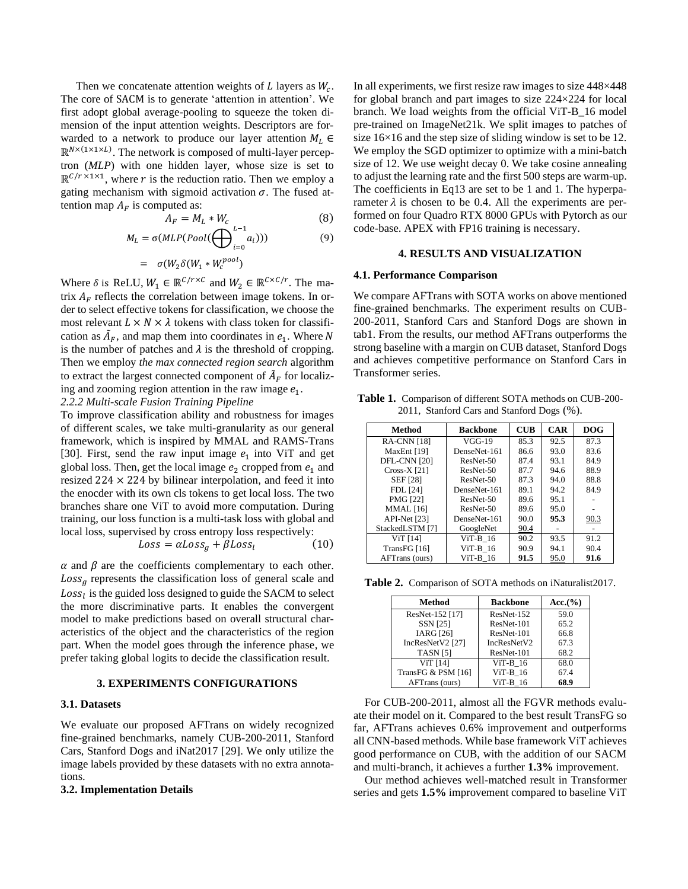Then we concatenate attention weights of  $L$  layers as  $W_c$ . The core of SACM is to generate 'attention in attention'. We first adopt global average-pooling to squeeze the token dimension of the input attention weights. Descriptors are forwarded to a network to produce our layer attention  $M_L \in$  $\mathbb{R}^{N \times (1 \times 1 \times L)}$ . The network is composed of multi-layer perceptron (*MLP*) with one hidden layer, whose size is set to  $\mathbb{R}^{C/r \times 1 \times 1}$ , where r is the reduction ratio. Then we employ a gating mechanism with sigmoid activation  $\sigma$ . The fused attention map  $A_F$  is computed as:

$$
A_F = M_L * W_c \tag{8}
$$

$$
M_L = \sigma(MLP(Pool(\bigoplus_{i=0} a_i)))
$$
\n(9)

$$
= \sigma(W_2 \delta(W_1 * W_c^{pool})
$$
  
ELU,  $W_1 \in \mathbb{R}^{C/r \times C}$  and  $W_2 \in \mathbb{R}$ 

Where  $\delta$  is ReLU,  $W_1$  $c \times c/r$ . The matrix  $A_F$  reflects the correlation between image tokens. In order to select effective tokens for classification, we choose the most relevant  $L \times N \times \lambda$  tokens with class token for classification as  $\tilde{A}_F$ , and map them into coordinates in  $e_1$ . Where N is the number of patches and  $\lambda$  is the threshold of cropping. Then we employ *the max connected region search* algorithm to extract the largest connected component of  $\tilde{A}_F$  for localizing and zooming region attention in the raw image  $e_1$ .

## *2.2.2 Multi-scale Fusion Training Pipeline*

To improve classification ability and robustness for images of different scales, we take multi-granularity as our general framework, which is inspired by MMAL and RAMS-Trans [30]. First, send the raw input image  $e_1$  into ViT and get global loss. Then, get the local image  $e_2$  cropped from  $e_1$  and resized  $224 \times 224$  by bilinear interpolation, and feed it into the enocder with its own cls tokens to get local loss. The two branches share one ViT to avoid more computation. During training, our loss function is a multi-task loss with global and local loss, supervised by cross entropy loss respectively:

$$
Loss = \alpha Loss_g + \beta Loss_l \tag{10}
$$

 $\alpha$  and  $\beta$  are the coefficients complementary to each other.  $Loss<sub>g</sub>$  represents the classification loss of general scale and  $Loss<sub>l</sub>$  is the guided loss designed to guide the SACM to select the more discriminative parts. It enables the convergent model to make predictions based on overall structural characteristics of the object and the characteristics of the region part. When the model goes through the inference phase, we prefer taking global logits to decide the classification result.

#### **3. EXPERIMENTS CONFIGURATIONS**

#### **3.1. Datasets**

We evaluate our proposed AFTrans on widely recognized fine-grained benchmarks, namely CUB-200-2011, Stanford Cars, Stanford Dogs and iNat2017 [29]. We only utilize the image labels provided by these datasets with no extra annotations.

#### **3.2. Implementation Details**

In all experiments, we first resize raw images to size 448×448 for global branch and part images to size 224×224 for local branch. We load weights from the official ViT-B\_16 model pre-trained on ImageNet21k. We split images to patches of size 16×16 and the step size of sliding window is set to be 12. We employ the SGD optimizer to optimize with a mini-batch size of 12. We use weight decay 0. We take cosine annealing to adjust the learning rate and the first 500 steps are warm-up. The coefficients in Eq13 are set to be 1 and 1. The hyperparameter  $\lambda$  is chosen to be 0.4. All the experiments are performed on four Quadro RTX 8000 GPUs with Pytorch as our code-base. APEX with FP16 training is necessary.

#### **4. RESULTS AND VISUALIZATION**

#### **4.1. Performance Comparison**

We compare AFTrans with SOTA works on above mentioned fine-grained benchmarks. The experiment results on CUB-200-2011, Stanford Cars and Stanford Dogs are shown in tab1. From the results, our method AFTrans outperforms the strong baseline with a margin on CUB dataset, Stanford Dogs and achieves competitive performance on Stanford Cars in Transformer series.

| 2011, Stanford Cars and Stanford Dogs (%). |                 |                                    |            |            |
|--------------------------------------------|-----------------|------------------------------------|------------|------------|
| Method                                     | <b>Backbone</b> | $\mathbf{C} \mathbf{U} \mathbf{B}$ | <b>CAR</b> | <b>DOG</b> |
| <b>RA-CNN</b> [18]                         | VGG-19          | 85.3                               | 92.5       | 87.3       |
| MaxEnt [19]                                | DenseNet-161    | 86.6                               | 93.0       | 83.6       |
| DFL-CNN [20]                               | $ResNet-50$     | 87.4                               | 93.1       | 84.9       |
| $Cross-X$ [21]                             | $ResNet-50$     | 87.7                               | 94.6       | 88.9       |
| <b>SEF</b> <sub>[28]</sub>                 | ResNet-50       | 87.3                               | 94.0       | 88.8       |
| FDL [24]                                   | DenseNet-161    | 89.1                               | 94.2       | 84.9       |
| <b>PMG [22]</b>                            | ResNet-50       | 89.6                               | 95.1       |            |

MMAL [16] ResNet-50 89.6 95.0 -<br>API-Net [23] DenseNet-161 90.0 95.3 90.3 DenseNet-161

ViT [14] ViT-B\_16 90.2 93.5 91.2<br>ansFG [16] ViT-B\_16 90.9 94.1 90.4 TransFG  $[16]$  ViT-B\_16 90.9 94.1 90.4<br>AFTrans (ours) ViT-B 16 91.5 95.0 91.6

StackedLSTM [7] GoogleNet 90.4

AFTrans (ours)

**Table 1.** Comparison of different SOTA methods on CUB-200- 2011, Stanford Cars and Stanford Dogs (%).

**Table 2.** Comparison of SOTA methods on iNaturalist2017.

| Method             | <b>Backbone</b> | Acc.(%) |
|--------------------|-----------------|---------|
| ResNet-152 [17]    | ResNet-152      | 59.0    |
| <b>SSN</b> [25]    | ResNet-101      | 65.2    |
| <b>IARG</b> [26]   | ResNet-101      | 66.8    |
| IncResNetV2 [27]   | IncResNetV2     | 67.3    |
| <b>TASN [5]</b>    | ResNet-101      | 68.2    |
| <b>ViT</b> [14]    | $ViT-B 16$      | 68.0    |
| TransFG & PSM [16] | $ViT-B 16$      | 67.4    |
| AFTrans (ours)     | $ViT-B 16$      | 68.9    |

For CUB-200-2011, almost all the FGVR methods evaluate their model on it. Compared to the best result TransFG so far, AFTrans achieves 0.6% improvement and outperforms all CNN-based methods. While base framework ViT achieves good performance on CUB, with the addition of our SACM and multi-branch, it achieves a further **1.3%** improvement.

Our method achieves well-matched result in Transformer series and gets **1.5%** improvement compared to baseline ViT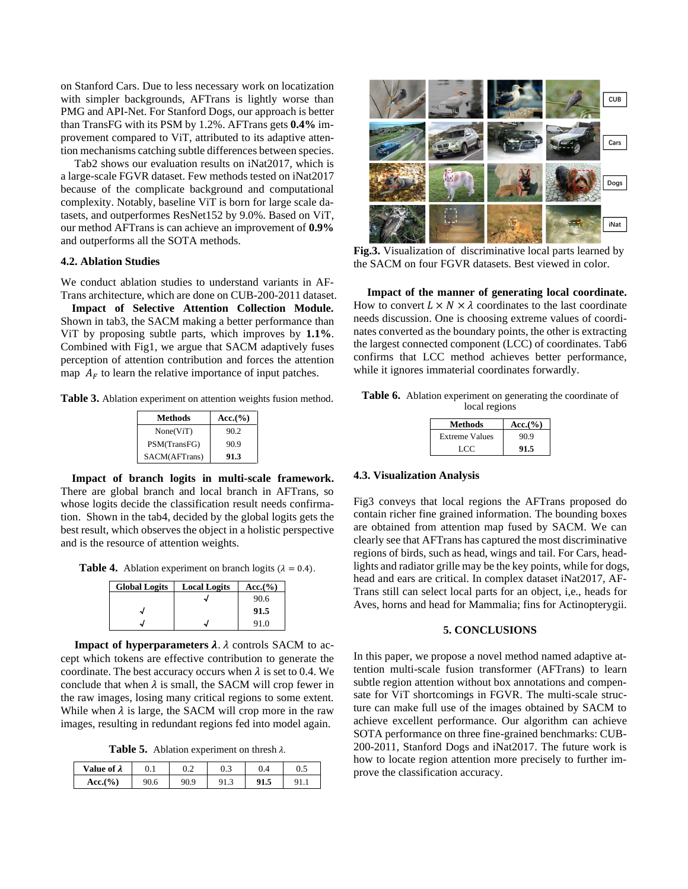on Stanford Cars. Due to less necessary work on locatization with simpler backgrounds, AFTrans is lightly worse than PMG and API-Net. For Stanford Dogs, our approach is better than TransFG with its PSM by 1.2%. AFTrans gets **0.4%** improvement compared to ViT, attributed to its adaptive attention mechanisms catching subtle differences between species.

Tab2 shows our evaluation results on iNat2017, which is a large-scale FGVR dataset. Few methods tested on iNat2017 because of the complicate background and computational complexity. Notably, baseline ViT is born for large scale datasets, and outperformes ResNet152 by 9.0%. Based on ViT, our method AFTrans is can achieve an improvement of **0.9%** and outperforms all the SOTA methods.

## **4.2. Ablation Studies**

We conduct ablation studies to understand variants in AF-Trans architecture, which are done on CUB-200-2011 dataset.

**Impact of Selective Attention Collection Module.** Shown in tab3, the SACM making a better performance than ViT by proposing subtle parts, which improves by **1.1%**. Combined with Fig1, we argue that SACM adaptively fuses perception of attention contribution and forces the attention map  $A_F$  to learn the relative importance of input patches.

**Table 3.** Ablation experiment on attention weights fusion method.

| <b>Methods</b> | Acc.(%) |
|----------------|---------|
| None(ViT)      | 90.2    |
| PSM(TransFG)   | 90.9    |
| SACM(AFTrans)  | 91.3    |

**Impact of branch logits in multi-scale framework.** There are global branch and local branch in AFTrans, so whose logits decide the classification result needs confirmation. Shown in the tab4, decided by the global logits gets the best result, which observes the object in a holistic perspective and is the resource of attention weights.

**Table 4.** Ablation experiment on branch logits ( $\lambda = 0.4$ ).

| <b>Global Logits</b> | <b>Local Logits</b> | Acc.(%) |
|----------------------|---------------------|---------|
|                      |                     | 90.6    |
|                      |                     | 91.5    |
|                      |                     | 91 O    |

**Impact of hyperparameters**  $\lambda$ **.**  $\lambda$  controls SACM to accept which tokens are effective contribution to generate the coordinate. The best accuracy occurs when  $\lambda$  is set to 0.4. We conclude that when  $\lambda$  is small, the SACM will crop fewer in the raw images, losing many critical regions to some extent. While when  $\lambda$  is large, the SACM will crop more in the raw images, resulting in redundant regions fed into model again.

**Table 5.** Ablation experiment on thresh  $\lambda$ .

| Value of $\lambda$    | v. 1 | J.Z  | $\sim$<br>U.J |      | <u>v. s</u> |
|-----------------------|------|------|---------------|------|-------------|
| $Acc.$ <sup>(%)</sup> | 90.6 | 90.9 | <b>ر.ر</b>    | 91.J |             |



**Fig.3.** Visualization of discriminative local parts learned by the SACM on four FGVR datasets. Best viewed in color.

**Impact of the manner of generating local coordinate.** How to convert  $L \times N \times \lambda$  coordinates to the last coordinate needs discussion. One is choosing extreme values of coordinates converted as the boundary points, the other is extracting the largest connected component (LCC) of coordinates. Tab6 confirms that LCC method achieves better performance, while it ignores immaterial coordinates forwardly.

| Table 6. Ablation experiment on generating the coordinate of |
|--------------------------------------------------------------|
| local regions                                                |

| <b>Methods</b>        | Acc.(%) |
|-----------------------|---------|
| <b>Extreme Values</b> | 90.9    |
| LCC                   | 91.5    |

#### **4.3. Visualization Analysis**

Fig3 conveys that local regions the AFTrans proposed do contain richer fine grained information. The bounding boxes are obtained from attention map fused by SACM. We can clearly see that AFTrans has captured the most discriminative regions of birds, such as head, wings and tail. For Cars, headlights and radiator grille may be the key points, while for dogs, head and ears are critical. In complex dataset iNat2017, AF-Trans still can select local parts for an object, i,e., heads for Aves, horns and head for Mammalia; fins for Actinopterygii.

#### **5. CONCLUSIONS**

In this paper, we propose a novel method named adaptive attention multi-scale fusion transformer (AFTrans) to learn subtle region attention without box annotations and compensate for ViT shortcomings in FGVR. The multi-scale structure can make full use of the images obtained by SACM to achieve excellent performance. Our algorithm can achieve SOTA performance on three fine-grained benchmarks: CUB-200-2011, Stanford Dogs and iNat2017. The future work is how to locate region attention more precisely to further improve the classification accuracy.